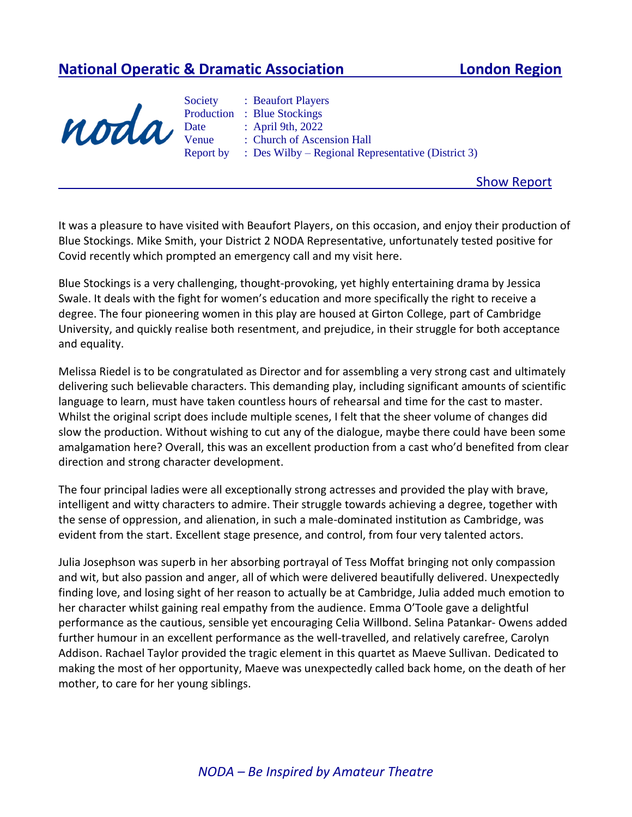## **National Operatic & Dramatic Association London Region**



Society : Beaufort Players Production : Blue Stockings Date : April 9th, 2022 Venue : Church of Ascension Hall Report by : Des Wilby – Regional Representative (District 3)

Show Report

It was a pleasure to have visited with Beaufort Players, on this occasion, and enjoy their production of Blue Stockings. Mike Smith, your District 2 NODA Representative, unfortunately tested positive for Covid recently which prompted an emergency call and my visit here.

Blue Stockings is a very challenging, thought-provoking, yet highly entertaining drama by Jessica Swale. It deals with the fight for women's education and more specifically the right to receive a degree. The four pioneering women in this play are housed at Girton College, part of Cambridge University, and quickly realise both resentment, and prejudice, in their struggle for both acceptance and equality.

Melissa Riedel is to be congratulated as Director and for assembling a very strong cast and ultimately delivering such believable characters. This demanding play, including significant amounts of scientific language to learn, must have taken countless hours of rehearsal and time for the cast to master. Whilst the original script does include multiple scenes, I felt that the sheer volume of changes did slow the production. Without wishing to cut any of the dialogue, maybe there could have been some amalgamation here? Overall, this was an excellent production from a cast who'd benefited from clear direction and strong character development.

The four principal ladies were all exceptionally strong actresses and provided the play with brave, intelligent and witty characters to admire. Their struggle towards achieving a degree, together with the sense of oppression, and alienation, in such a male-dominated institution as Cambridge, was evident from the start. Excellent stage presence, and control, from four very talented actors.

Julia Josephson was superb in her absorbing portrayal of Tess Moffat bringing not only compassion and wit, but also passion and anger, all of which were delivered beautifully delivered. Unexpectedly finding love, and losing sight of her reason to actually be at Cambridge, Julia added much emotion to her character whilst gaining real empathy from the audience. Emma O'Toole gave a delightful performance as the cautious, sensible yet encouraging Celia Willbond. Selina Patankar- Owens added further humour in an excellent performance as the well-travelled, and relatively carefree, Carolyn Addison. Rachael Taylor provided the tragic element in this quartet as Maeve Sullivan. Dedicated to making the most of her opportunity, Maeve was unexpectedly called back home, on the death of her mother, to care for her young siblings.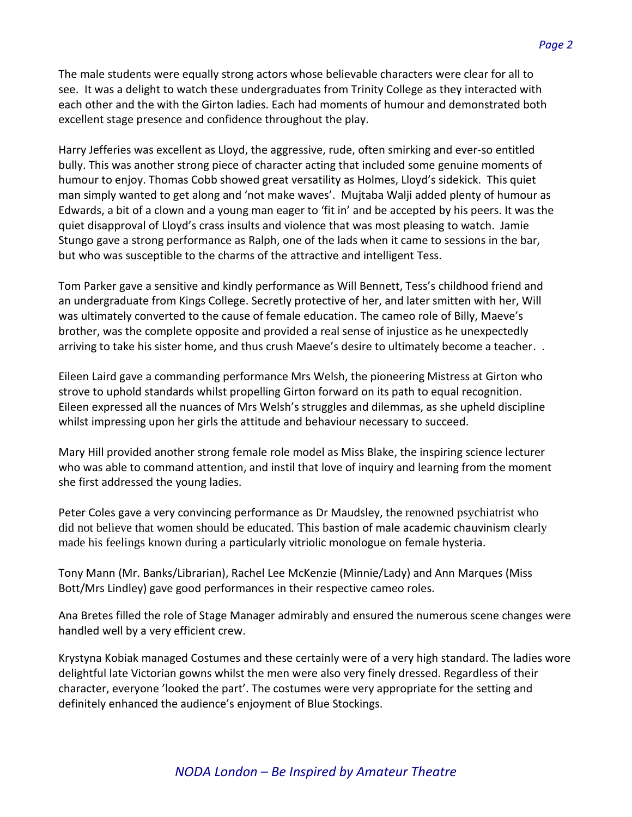The male students were equally strong actors whose believable characters were clear for all to see. It was a delight to watch these undergraduates from Trinity College as they interacted with each other and the with the Girton ladies. Each had moments of humour and demonstrated both excellent stage presence and confidence throughout the play.

Harry Jefferies was excellent as Lloyd, the aggressive, rude, often smirking and ever-so entitled bully. This was another strong piece of character acting that included some genuine moments of humour to enjoy. Thomas Cobb showed great versatility as Holmes, Lloyd's sidekick. This quiet man simply wanted to get along and 'not make waves'. Mujtaba Walji added plenty of humour as Edwards, a bit of a clown and a young man eager to 'fit in' and be accepted by his peers. It was the quiet disapproval of Lloyd's crass insults and violence that was most pleasing to watch. Jamie Stungo gave a strong performance as Ralph, one of the lads when it came to sessions in the bar, but who was susceptible to the charms of the attractive and intelligent Tess.

Tom Parker gave a sensitive and kindly performance as Will Bennett, Tess's childhood friend and an undergraduate from Kings College. Secretly protective of her, and later smitten with her, Will was ultimately converted to the cause of female education. The cameo role of Billy, Maeve's brother, was the complete opposite and provided a real sense of injustice as he unexpectedly arriving to take his sister home, and thus crush Maeve's desire to ultimately become a teacher. .

Eileen Laird gave a commanding performance Mrs Welsh, the pioneering Mistress at Girton who strove to uphold standards whilst propelling Girton forward on its path to equal recognition. Eileen expressed all the nuances of Mrs Welsh's struggles and dilemmas, as she upheld discipline whilst impressing upon her girls the attitude and behaviour necessary to succeed.

Mary Hill provided another strong female role model as Miss Blake, the inspiring science lecturer who was able to command attention, and instil that love of inquiry and learning from the moment she first addressed the young ladies.

Peter Coles gave a very convincing performance as Dr Maudsley, the renowned psychiatrist who did not believe that women should be educated. This bastion of male academic chauvinism clearly made his feelings known during a particularly vitriolic monologue on female hysteria.

Tony Mann (Mr. Banks/Librarian), Rachel Lee McKenzie (Minnie/Lady) and Ann Marques (Miss Bott/Mrs Lindley) gave good performances in their respective cameo roles.

Ana Bretes filled the role of Stage Manager admirably and ensured the numerous scene changes were handled well by a very efficient crew.

Krystyna Kobiak managed Costumes and these certainly were of a very high standard. The ladies wore delightful late Victorian gowns whilst the men were also very finely dressed. Regardless of their character, everyone 'looked the part'. The costumes were very appropriate for the setting and definitely enhanced the audience's enjoyment of Blue Stockings.